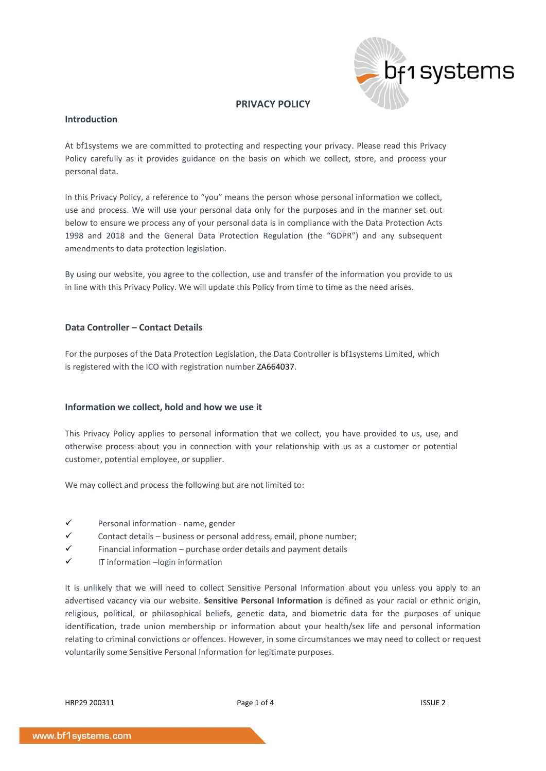

# **PRIVACY POLICY**

## **Introduction**

At bf1systems we are committed to protecting and respecting your privacy. Please read this Privacy Policy carefully as it provides guidance on the basis on which we collect, store, and process your personal data.

In this Privacy Policy, a reference to "you" means the person whose personal information we collect, use and process. We will use your personal data only for the purposes and in the manner set out below to ensure we process any of your personal data is in compliance with the Data Protection Acts 1998 and 2018 and the General Data Protection Regulation (the "GDPR") and any subsequent amendments to data protection legislation.

By using our website, you agree to the collection, use and transfer of the information you provide to us in line with this Privacy Policy. We will update this Policy from time to time as the need arises.

# **Data Controller – Contact Details**

For the purposes of the Data Protection Legislation, the Data Controller is bf1systems Limited, which is registered with the ICO with registration number ZA664037.

## **Information we collect, hold and how we use it**

This Privacy Policy applies to personal information that we collect, you have provided to us, use, and otherwise process about you in connection with your relationship with us as a customer or potential customer, potential employee, or supplier.

We may collect and process the following but are not limited to:

- Personal information name, gender
- $\checkmark$  Contact details business or personal address, email, phone number;
- $\checkmark$  Financial information purchase order details and payment details
- IT information -login information

It is unlikely that we will need to collect Sensitive Personal Information about you unless you apply to an advertised vacancy via our website. **Sensitive Personal Information** is defined as your racial or ethnic origin, religious, political, or philosophical beliefs, genetic data, and biometric data for the purposes of unique identification, trade union membership or information about your health/sex life and personal information relating to criminal convictions or offences. However, in some circumstances we may need to collect or request voluntarily some Sensitive Personal Information for legitimate purposes.

 $HRP29 200311$  ISSUE 2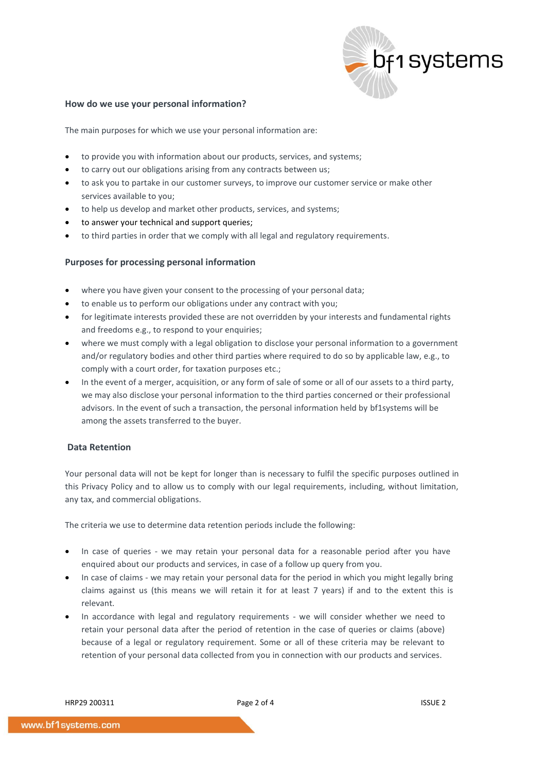

#### **How do we use your personal information?**

The main purposes for which we use your personal information are:

- to provide you with information about our products, services, and systems;
- to carry out our obligations arising from any contracts between us;
- to ask you to partake in our customer surveys, to improve our customer service or make other services available to you;
- to help us develop and market other products, services, and systems;
- to answer your technical and support queries;
- to third parties in order that we comply with all legal and regulatory requirements.

#### **Purposes for processing personal information**

- where you have given your consent to the processing of your personal data:
- to enable us to perform our obligations under any contract with you;
- for legitimate interests provided these are not overridden by your interests and fundamental rights and freedoms e.g., to respond to your enquiries;
- where we must comply with a legal obligation to disclose your personal information to a government and/or regulatory bodies and other third parties where required to do so by applicable law, e.g., to comply with a court order, for taxation purposes etc.;
- In the event of a merger, acquisition, or any form of sale of some or all of our assets to a third party, we may also disclose your personal information to the third parties concerned or their professional advisors. In the event of such a transaction, the personal information held by bf1systems will be among the assets transferred to the buyer.

# **Data Retention**

Your personal data will not be kept for longer than is necessary to fulfil the specific purposes outlined in this Privacy Policy and to allow us to comply with our legal requirements, including, without limitation, any tax, and commercial obligations.

The criteria we use to determine data retention periods include the following:

- In case of queries we may retain your personal data for a reasonable period after you have enquired about our products and services, in case of a follow up query from you.
- In case of claims we may retain your personal data for the period in which you might legally bring claims against us (this means we will retain it for at least 7 years) if and to the extent this is relevant.
- In accordance with legal and regulatory requirements we will consider whether we need to retain your personal data after the period of retention in the case of queries or claims (above) because of a legal or regulatory requirement. Some or all of these criteria may be relevant to retention of your personal data collected from you in connection with our products and services.

HRP29 200311 **Page 2 of 4 Page 2 of 4 ISSUE 2**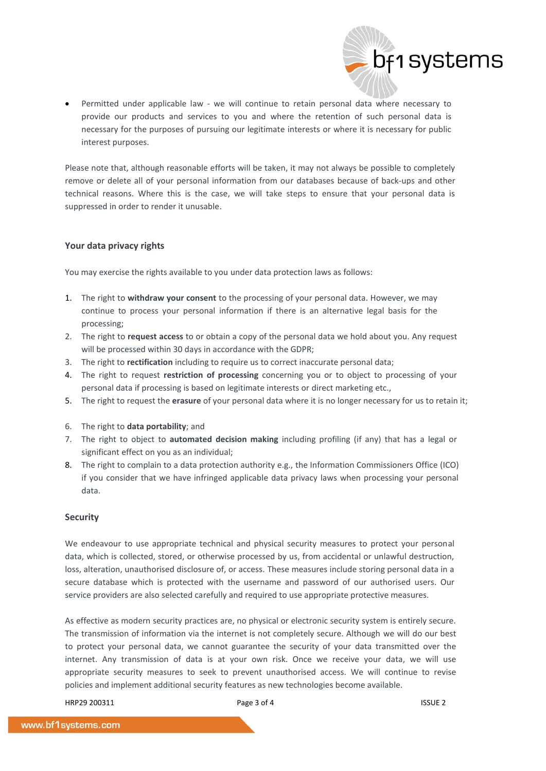• Permitted under applicable law - we will continue to retain personal data where necessary to provide our products and services to you and where the retention of such personal data is necessary for the purposes of pursuing our legitimate interests or where it is necessary for public interest purposes.

Please note that, although reasonable efforts will be taken, it may not always be possible to completely remove or delete all of your personal information from our databases because of back-ups and other technical reasons. Where this is the case, we will take steps to ensure that your personal data is suppressed in order to render it unusable.

## **Your data privacy rights**

You may exercise the rights available to you under data protection laws as follows:

- 1. The right to **withdraw your consent** to the processing of your personal data. However, we may continue to process your personal information if there is an alternative legal basis for the processing;
- 2. The right to **request access** to or obtain a copy of the personal data we hold about you. Any request will be processed within 30 days in accordance with the GDPR;
- 3. The right to **rectification** including to require us to correct inaccurate personal data;
- 4. The right to request **restriction of processing** concerning you or to object to processing of your personal data if processing is based on legitimate interests or direct marketing etc.,
- 5. The right to request the **erasure** of your personal data where it is no longer necessary for us to retain it;
- 6. The right to **data portability**; and
- 7. The right to object to **automated decision making** including profiling (if any) that has a legal or significant effect on you as an individual;
- 8. The right to complain to a data protection authority e.g., the Information Commissioners Office (ICO) if you consider that we have infringed applicable data privacy laws when processing your personal data.

#### **Security**

We endeavour to use appropriate technical and physical security measures to protect your personal data, which is collected, stored, or otherwise processed by us, from accidental or unlawful destruction, loss, alteration, unauthorised disclosure of, or access. These measures include storing personal data in a secure database which is protected with the username and password of our authorised users. Our service providers are also selected carefully and required to use appropriate protective measures.

As effective as modern security practices are, no physical or electronic security system is entirely secure. The transmission of information via the internet is not completely secure. Although we will do our best to protect your personal data, we cannot guarantee the security of your data transmitted over the internet. Any transmission of data is at your own risk. Once we receive your data, we will use appropriate security measures to seek to prevent unauthorised access. We will continue to revise policies and implement additional security features as new technologies become available.

HRP29 200311 **Page 3 of 4 Page 3 of 4 ISSUE 2** 

bf1 systems